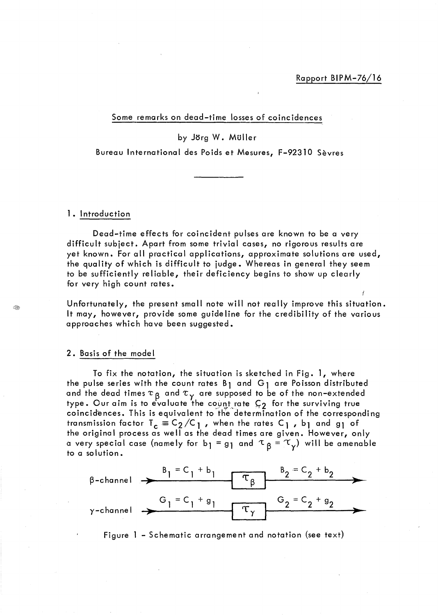Some remarks on dead-time losses of coincidences

by Jörg W. Müller

Bureau International des Poids et Mesures, F-92310 Sèvres

#### 1. Introduction

Dead-time effects for coincident pulses are known to be a very difficult subject. Apart from some trivial cases, no rigorous results are yet known. For ail practical applications, approximate solutions are used, the quality of which is difficult to judge. Whereas in general they seem to be sufficiently reliable, their deficiency begins to show up clearly for very high count rates.

Unfortunately, the present small note will not really improve this situation. It may, however, provide some guideline for the credibility of the various approaches which have been suggested.

#### 2. Basis of the mode 1

To fix the notation, the situation is sketched in Fig. 1, where the pulse series with the count rates  $B_1$  and  $G_1$  are Poisson distributed and the dead times  $\tau$   $_{\mathsf{B}}$  and  $\tau_{_{\mathsf{Y}}}$  are supposed to be of the non-extended type. Our aim is to evaluate the count rate  $\varsigma_{2}$  for the surviving true coincidences. This is equivalent to the determination of the corresponding transmission factor  $T_c \equiv C_2/C_1$ , when the rates  $C_1$ , bi and gi of the original process as well as the dead times are given. However, only a very special case (namely for b<sub>l</sub> = g<sub>l</sub> and  $\tau_{\beta} = \tau_{\gamma}$ ) will be amenable to a solution.



Figure 1 - Schematic arrangement and notation (see text)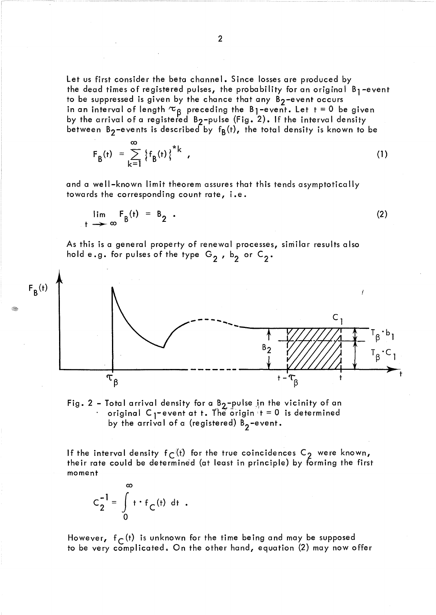Let us first consider the beta channel. Since losses are produced by the dead times of registered pulses, the probability for an original  $B_1$ -event to be suppressed is given by the chance that any  $B_2$ -event occurs in an interval of length  $\rm{\tau_{g}}$  preceding the B1-event. Let t = 0 be given by the arrival of a registered B $_{\rm 2}$ –pulse (Fig. 2). If the interval density between B<sub>2</sub>-events is described by  $f_B(t)$ , the total density is known to be

$$
F_{B}(t) = \sum_{k=1}^{\infty} \left\{ f_{B}(t) \right\}^{*k} , \qquad (1)
$$

and a well-known limit theorem assures that this tends asymptotically towards the corresponding count rate, i.e.

$$
\lim_{t \to \infty} F_B(t) = B_2 \tag{2}
$$

As this is a general property of renewal processes, similar results also hold e.g. for pulses of the type  $G_2$ ,  $b_2$  or  $C_2$ .





If the interval density  $f_C(t)$  for the true coincidences  $C_2$  were known, their rate could be determined (at least in principle) by forming the first moment

 $\infty$  $C_2^{-1} = \int_{0}^{\infty} t \cdot f_C(t) dt$ .  $\mathbf{0}$ 

However,  $f_C(t)$  is unknown for the time being and may be supposed to be very complicated. On the other hand, equation (2) may now offer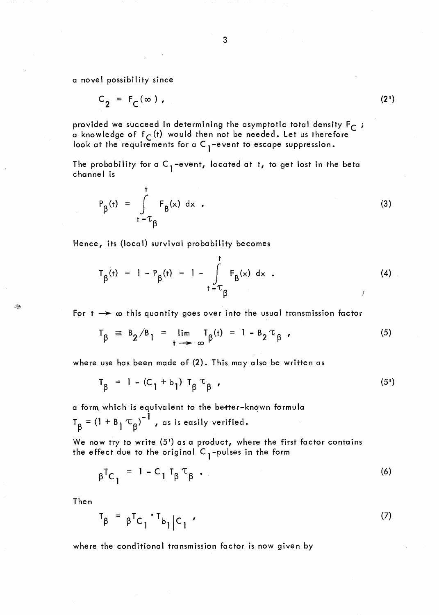a novel possibility since

$$
C_2 = F_C(\infty), \qquad (2')
$$

provided we succeed in determining the asymptotic total density  $F_C$ ; a knowledge of  $f_C(t)$  would then not be needed. Let us therefore look at the requirements for a C <sub>1</sub>-event to escape suppression**.** 

The probability for a C <sub>1</sub> –event, located at t, to get lost in the beta<br>channel is channel is

$$
P_{\beta}(t) = \int_{t-\tau_{\beta}}^{t} F_{\beta}(x) dx
$$
 (3)

Hence, its (local) survival probability becomes

$$
T_{\beta}(t) = 1 - P_{\beta}(t) = 1 - \int_{t - T_{\beta}}^{t} F_{\beta}(x) dx
$$
 (4)

For  $t \rightarrow \infty$  this quantity goes over into the usual transmission factor

$$
T_{\beta} = B_2/B_1 = \lim_{t \to \infty} T_{\beta}(t) = 1 - B_2 \tau_{\beta} \tag{5}
$$

where use has been made of (2). This may also be written as

$$
T_{\beta} = 1 - (C_1 + b_1) T_{\beta} T_{\beta}
$$
, (5')

a form which is equivalent to the better-known formula **-1** .  $T_R = (1 + B_i \tau_R)^{-1}$ , as is easily verified.

We now try to write (5<sup>1</sup>) as a product, where the first factor contains the effect due to the original  $C_1$ -pulses in the form

$$
\beta^{\mathsf{T}}C_1 = 1 - C_1 T_{\beta} T_{\beta} \tag{6}
$$

Then

B

$$
T_{\beta} = \beta^{T} C_{1} \cdot T_{b_{1}} C_{1} \qquad (7)
$$

where the conditional transmission factor is now given by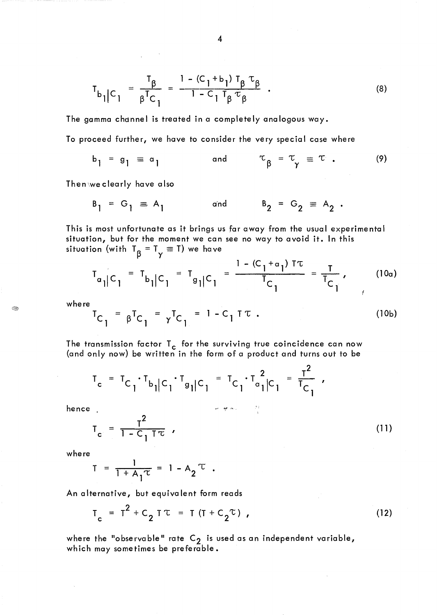$$
T_{b_{1}|C_{1}} = \frac{T_{\beta}}{\beta^{T}C_{1}} = \frac{1 - (C_{1} + b_{1}) T_{\beta} T_{\beta}}{1 - C_{1} T_{\beta} T_{\beta}}.
$$
 (8)

The gamma chdnnel is treated in a completely analogous way.

To proceed further, we have to consider the very special case where

$$
b_1 = g_1 \equiv a_1 \qquad \text{and} \qquad \tau_{\beta} = \tau_{\gamma} \equiv \tau \qquad (9)
$$

Then\we clearly have also

$$
B_1 = G_1 \equiv A_1
$$
 and  $B_2 = G_2 \equiv A_2$ .

This is most unfortunate as it brings us far away from the usual experimental situation, but for the moment we can see no way to avoid it. In this situation (with  $T_{\beta} = T_{\gamma} \equiv T$ ) we have

$$
T_{\alpha_{1}|C_{1}} = T_{b_{1}|C_{1}} = T_{g_{1}|C_{1}} = \frac{1 - (C_{1} + \alpha_{1}) \text{Tr}}{T_{C_{1}}} = \frac{T}{T_{C_{1}}}, \qquad (10a)
$$

where

÷.

$$
T_{C_1} = \beta^{T} C_1 = \gamma^{T} C_1 = 1 - C_1 T T
$$
 (10b)

The transmission factor  $T_c$  for the surviving true coincidence can now (and only now) be written in the form of a product and turns out to be

$$
T_c = T_{C_1} \cdot T_{b_1|C_1} \cdot T_{g_1|C_1} = T_{C_1} \cdot T_{a_1|C_1}^2 = \frac{T^2}{T_{C_1}}
$$

hence .

$$
T_c = \frac{T^2}{1 - C_1 T \tau} \tag{11}
$$

 $\mathbf{v} \mathbf{v} = \frac{\partial \mathbf{v}}{\partial \mathbf{v}} \left[ \partial \mathbf{v} \right]_{\mathbf{v}}$  .

where

$$
T = \frac{1}{1 + A_1 \tau} = 1 - A_2 \tau.
$$

An alternative, but equivalent form reads

$$
T_c = T^2 + C_2 T \tau = T (T + C_2 \tau), \qquad (12)
$$

where the "observable" rate  $C_2$  is used as an independent variable, which may sometimes be preferable.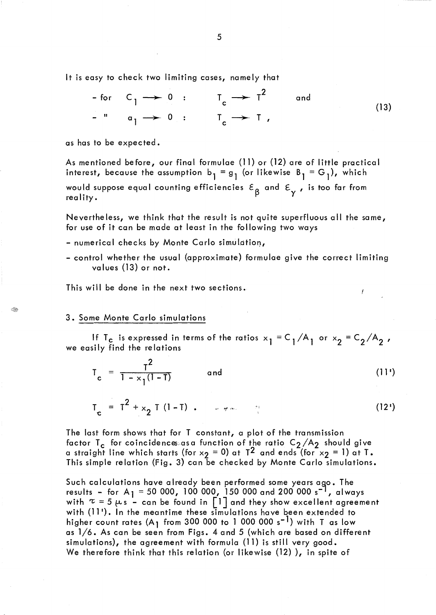It is easy to check two limiting cases, namely that

For 
$$
C_1 \rightarrow 0
$$
:  $T_c \rightarrow T^2$  and  
- "  $a_1 \rightarrow 0$ :  $T_c \rightarrow T$ , (13)

as has to be expected.

As mentioned before, our final formulae (11) or (12) are of little practical interest, because the assumption  $b_1 = g_1$  (or likewise  $B_1 = G_1$ ), which

would suppose equal counting efficiencies  $\varepsilon_{\mathsf{B}}^{\mathsf{}}$  and  $\varepsilon_{\mathsf{v}}^{\mathsf{}}$  , is too far from rea 1 ity. *t-'* Y

Nevertheless, we think that the result is not quite superfluous ail the same, for use of it can be made at least in the following two ways

- numerical checks by Monte Carlo simulation,
- control whether the usual (approximate) formulae give the correct limiting values (13) or not.

This will be done in the next two sections.

## 3. Some Monte Carlo simulations

If T<sub>C</sub> is expressed in terms of the ratios  $x_1 = C_1/A_1$  or  $x_2 = C_2/A_2$ , we easily find the relations

$$
T_c = \frac{T^2}{1 - x_1(1 - T)}
$$
 and (11')

Ĭ

$$
T_c = T^2 + x_2 T (1 - T) \t\t(12')
$$

The last form shows that for T constant, a plot of the transmission factor T<sub>c</sub> for coincidences;asa function of the ratio C $_{\rm 2}$ /A $_{\rm 2}$  should give a straight line which starts (for  $x_2 = 0$ ) at T<sup>2</sup> and ends (for  $x_2 = 1$ ) at T. This simple relation (Fig. 3) can be checked by Monte Carlo simulations.

Such calculations have already been performed some years ago. The results - for A<sub>1</sub> = 50 000, 100 000, 150 000 and 200 000 s<sup>-1</sup>, always with  $\tau = 5 \mu s$  - can be found in  $\lceil l \rceil$  and they show excellent agreement with (11'). In the meantime these simulations have been extended to higher count rates  $(A_1$  from 300 000 to 1 000 000 s<sup>-1</sup>) with T as low as 1/6. As can be seen from Figs. 4 and 5 (which are based on different simulations), the agreement with formula (11) is still very good. We therefore think that this relation (or likewise (12)), in spite of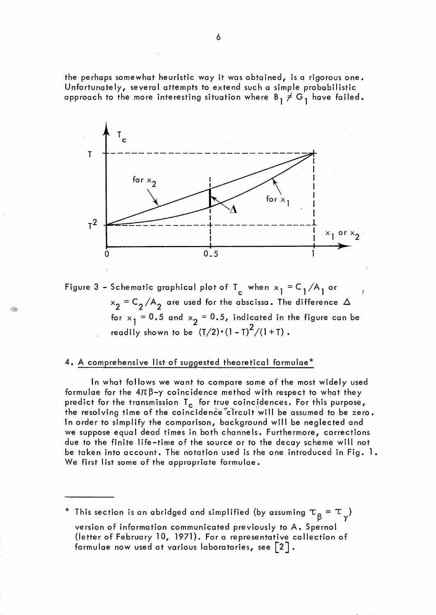the perhaps somewhat heuristic way it was obtained, is a rigorous one. Unfortunately, several attempts to extend such a simple probabilistic approach to the more interesting situation where  $B_1 \neq G_1$  have failed.



Figure 3 – Schematic graphical plot of T<sub>c</sub> when  $x_1 = C_1/A_1$  or  $x_2 = C_2/A_2$  are used for the abscissa. The difference  $\Delta$ for  $x_1 = 0.5$  and  $x_2 = 0.5$ , indicated in the figure can be readily shown to be  $(T/2) \cdot (1-T)^2/(1+T)$ .

## 4. A comprehensive list of suggested theoretical formulae\*

Q

In what follows we want to compare some of the most widely used formulae for the  $4\pi\beta-\gamma$  coincidence method with respect to what they predict for the transmission  $T_c$  for true coincidences. For this purpose, the resolving time of the coincidence<sup>\*</sup>circuit will be assumed to be zero. ln order to simplify the comparison, background will be neglected and we suppose equal dead times in both channels. Furthermore, corrections due to the finite life-time of the source or to the decay scheme will not be taken into account. The notation used is the one introduced in Fig. 1. We first list some of the appropriate formulae.

\* This section is an abridged and simplified (by assuming  $\tau_{\beta}$  =  $\tau_{\gamma}$ ) version of information communicated previously to A. Spernol (letter of February 10, 1971). For a representative collection of formulae now used at various laboratories, see  $\lceil 2 \rceil$ .

6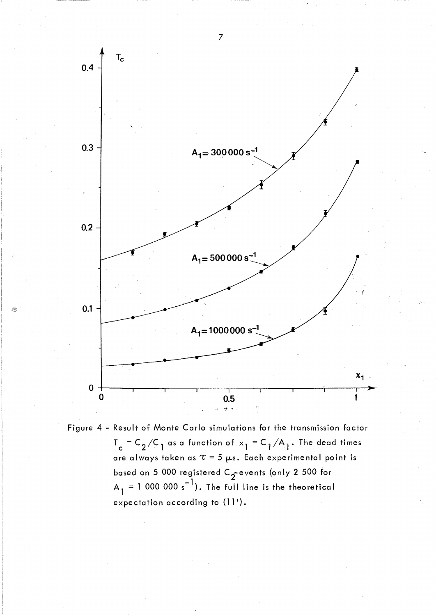

Figure 4 - Result of Monte Carlo simulations for the transmission factor  $T_c = C_2 / C_1$  as a function of  $x_1 = C_1 / A_1$ . The dead times are always taken as  $\tau = 5 \mu s$ . Each experimental point is based on 5 000 registered C $\frac{1}{2}$ events (only 2 500 for  $A_1 = 1000000 s^{-1}$ ). The full line is the theoretical expectation according to (11').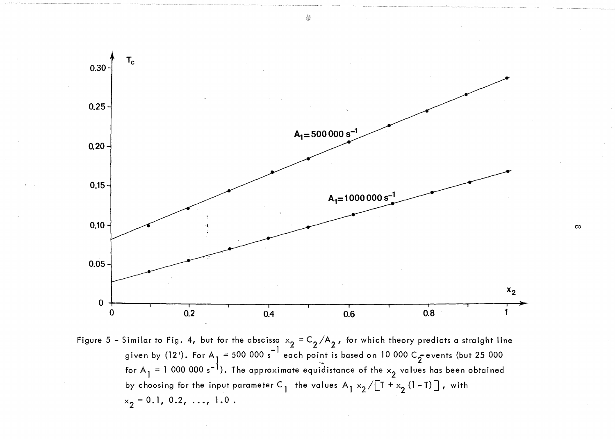

◈

Figure 5 – Similar to Fig. 4, but for the abscissa  $x_2 = C_2/A_2$ , for which theory predicts a straight line given by (12'). For A<sub>1</sub> = 500 000 s<sup>-1</sup> each point is based on 10 000 C<sub>5</sub> events (but 25 000 for A  $_1$  = 1 000 000 s<sup>-1</sup>). The approximate equidistance of the  $\times_2$  values has been obtained by choosing for the input parameter C<sub>1</sub> the values A<sub>1</sub>  $\times$ <sub>2</sub>/[T <sup>+</sup>  $\times$ <sub>2</sub> (1 - T)], with  $x_2 = 0.1, 0.2, \ldots, 1.0$ .

 $\infty$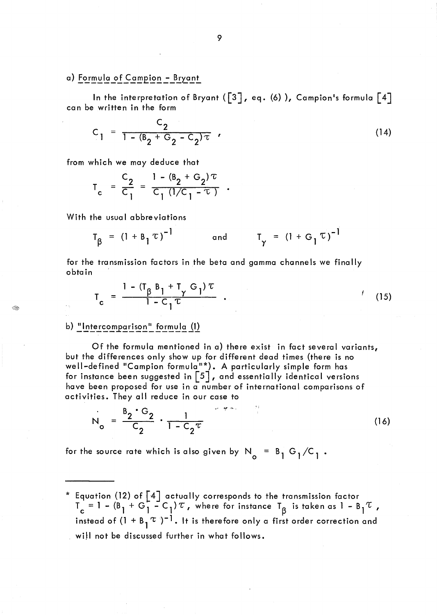## a) Formula of Campion - Bryant

In the interpretation of Bryant ( $\begin{bmatrix} 3 \end{bmatrix}$ , eq. (6)), Campion's formula  $\begin{bmatrix} 4 \end{bmatrix}$ can be written in the form

$$
C_1 = \frac{C_2}{1 - (B_2 + G_2 - C_2)\tau} \tag{14}
$$

from which we may deduce that

$$
T_c = \frac{C_2}{C_1} = \frac{1 - (B_2 + C_2)\tau}{C_1 (1/C_1 - \tau)}
$$

With the usual abbreviations

$$
T_{\beta} = (1 + B_1 \tau)^{-1}
$$
 and  $T_{\gamma} = (1 + G_1 \tau)^{-1}$ 

for the transmission factors in the beta and gamma channels we finally obta in

$$
T_c = \frac{1 - (T_{\beta} B_1 + T_{\gamma} G_1) \tau}{1 - C_1 \tau} \tag{15}
$$

### b) "Intercomparison" formula (1)

 $\langle \rangle$ 

Of the formula mentioned in a) there exist in fact several variants, but the differences only show up for different dead times (there is no well-defined "Campion formula<sup>n\*</sup>). A particularly simple form has for instance been suggested in [5], and essentially identical versions have been proposed for use in a number of international comparisons of activities. They ail reduce in our case to

$$
N_o = \frac{B_2 \cdot G_2}{C_2} \cdot \frac{1}{1 - C_2 \tau}
$$
 (16)

for the source rate which is also given by  $N_{o} = B_1 G_1 / C_1$ .

 $^{\ast}$  Equation (12) of [4] actually corresponds to the transmission factor  $T_c = 1 - (B_1 + G_1 - C_1) \tau$  , where for instance  $T_{\beta}$  is taken as  $1 - B_1 \tau$  , instead of  $(1 + B_1 \tau)^{-1}$ . It is therefore only a first order correction and will not be discussed further in what follows.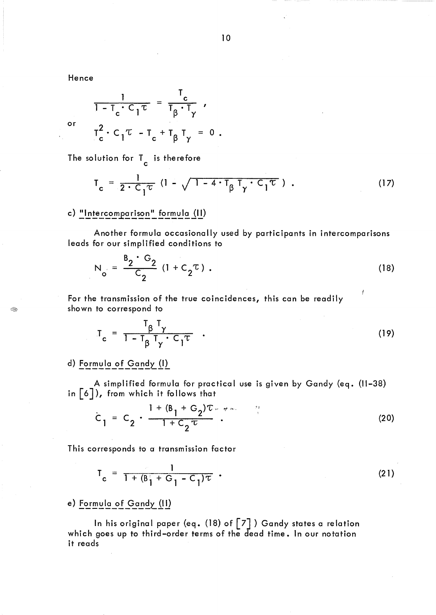Hence

or

Q

$$
\frac{1}{1 - T_c \cdot C_1 \tau} = \frac{T_c}{T_\beta \cdot T_\gamma} ,
$$

$$
T_c^2 \cdot C_1 \tau - T_c + T_\beta T_\gamma = 0 .
$$

The solution for  $\mathsf{T}_{\mathsf{c}}$  is therefore

$$
T_c = \frac{1}{2 \cdot C_1 \tau} (1 - \sqrt{1 - 4 \cdot T_{\beta} T_{\gamma} \cdot C_1 \tau}). \qquad (17)
$$

# c) "Intercomparison" formula (II)

Another formula occasionally used by participants in intercomparisons leads for our simplified conditions to

$$
N_o = \frac{B_2 \cdot G_2}{C_2} (1 + C_2 \tau) .
$$
 (18)

For the transmission of the true coincidences, this can be readily shown to correspond to

$$
T_c = \frac{T_{\beta} T_{\gamma}}{1 - T_{\beta} T_{\gamma} \cdot C_1 \tau} \quad . \tag{19}
$$

# d) Formula of Gandy (1)

A simplified formula for practical use is given by Gandy (eq. (11-38) in [6J), from which it follows that

$$
C_1 = C_2 \cdot \frac{1 + (B_1 + G_2)T_{\nu} \cdot \tau_{\nu}}{1 + C_2 \tau}.
$$
 (20)

This corresponds to a transmission factor

$$
T_c = \frac{1}{1 + (B_1^2 + G_1 - C_1)\tau} \tag{21}
$$

## e) Formula of Gandy (II)

In his original paper (eq. (18) of  $\lceil 7 \rceil$ ) Gandy states a relation which goes up to third-order terms of the dead time. In our notation it reads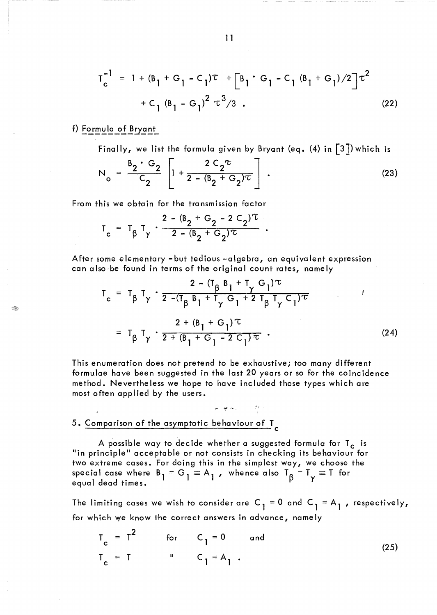$$
T_{c}^{-1} = 1 + (B_{1} + G_{1} - C_{1})\tau + [B_{1} \cdot G_{1} - C_{1} (B_{1} + G_{1})/2] \tau^{2}
$$
  
+ C\_{1} (B\_{1} - G\_{1})^{2} \tau^{3}/3 . (22)

## f) Formula of Bryant

Î.

Finally, we list the formula given by Bryant (eq.  $(4)$  in  $\lceil 3 \rceil$ ) which is

$$
N_o = \frac{B_2 \cdot G_2}{C_2} \left[ 1 + \frac{2 C_2 \tau}{2 - (B_2 + G_2) \tau} \right].
$$
 (23)

From this we obtain for the transmission factor

$$
T_c = T_{\beta} T_{\gamma} \cdot \frac{2 - (B_2 + G_2 - 2 C_2)^{\tau}}{2 - (B_2 + G_2)^{\tau}}.
$$

After some elementary -but tedious -algebra, an equivalent expression can also be found in terms of the original count rates, namely

$$
T_{c} = T_{\beta} T_{\gamma} \cdot \frac{2 - (T_{\beta} B_{1} + T_{\gamma} G_{1}) \tau}{2 - (T_{\beta} B_{1} + T_{\gamma} G_{1} + 2 T_{\beta} T_{\gamma} C_{1}) \tau}
$$
  

$$
= T_{\beta} T_{\gamma} \cdot \frac{2 + (B_{1} + G_{1}) \tau}{2 + (B_{1} + G_{1} - 2 C_{1}) \tau}
$$
 (24)

This enumeration does not pretend to be exhaustive; too many different formulae have been suggested in the last 20 years or so for the coincidence mèthod. Nevertheless we hope to have included those types which are most often applied by the users.

 $\omega = \frac{1}{2} \frac{1}{2} \cos \left( \frac{1}{2} \right)$ 

# 5.  $\overline{\text{Comparison of the asymptotic behaviour of } I}$

A possible way to decide whether a suggested formula for  $T_c$  is "in principle" acceptable or not consists in checking its behaviour for two extreme cases. For doing this in the simplest way, we choose the special case where  $B_1 = G_1 \equiv A_1$ , whence also  $T_0 = T_\gamma \equiv T$  for equal dead times.

The limiting cases we wish to consider are  $C_1 = 0$  and  $C_1 = A_1$ , respectively, for which we know the correct answers in advance, namely

$$
T_c = T^2 \qquad \text{for} \qquad C_1 = 0 \qquad \text{and}
$$
  

$$
T_c = T \qquad \qquad \qquad \qquad C_1 = A_1 \qquad \qquad (25)
$$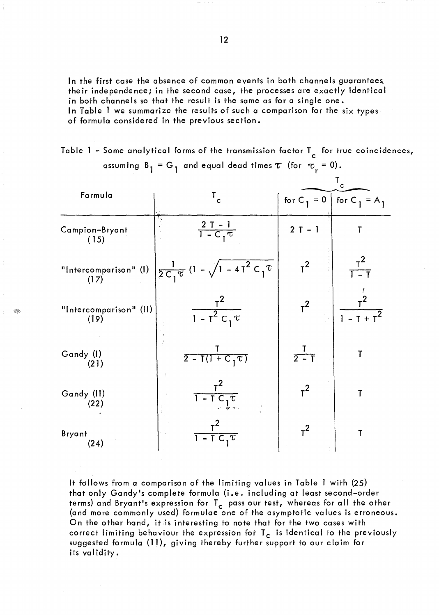In the first case the absence of common events in both channels guarantees their independence; in the second case, the processes are exactly identical in both channels so that the result is the same as for a single one. ln Table 1 we summarize the results of such a comparison for the six types of formula considered in the previous section.

Table 1 – Some analytical forms of the transmission factor T $_{\rm c}$  for true coincidences, assuming  $B_1 = G_1$  and equal dead times  $\tau$  (for  $\tau_r = 0$ ). r T<sub>c</sub> for true coincidences,<br>  $\tau_r = 0$ ).<br>
T<sub>c</sub><br>  $\tau_1 = 0$  | for C<sub>1</sub> = A<sub>1</sub>

|                                |                                                                | C               |                                     |
|--------------------------------|----------------------------------------------------------------|-----------------|-------------------------------------|
| Formula                        | $\mathbf{T}_{\mathbf{c}}$                                      | for $C_1 = 0$   | for C <sub>1</sub> = A <sub>1</sub> |
| Campion-Bryant<br>(15)         | $\frac{2T-1}{1-C_1\tau}$                                       | $2T - 1$        | Т                                   |
| "Intercomparison" (I)<br>(17)  | $\frac{1}{2C_1\tau}$ (1 - $\sqrt{1-4T^2C_1\tau}$               | $T^2$           | $\frac{T^2}{1-T}$                   |
| "Intercomparison" (II)<br>(19) | $\frac{T^2}{1-T^2C_1\tau}$                                     | $T^2$           | $1 - T + T^2$                       |
| Gandy (I)<br>(21)              | $rac{1}{2 - T(1 + C_1 \tau)}$                                  | $\frac{1}{2-1}$ | T                                   |
| Gandy (II)<br>(22)             | $T^2$<br>$T - T C_1 \tau$<br>$\mathcal{G}$ )                   | $T^2$           | Т                                   |
| Bryant<br>(24)                 | $\overline{1-\overline{1}}$ $\overline{C}$ , $\overline{\tau}$ | $\tau^2$        | T                                   |

8:;>';

It follows from a comparison of the limiting values in Table 1 with (25) that only Gandy's complete formula (i.e. including at least second-order terms) and Bryant's expression for  $T_c$  pass our test, whereas for all the other (and more commonly used) formulae one of the asymptotic values is erroneous. On the other hand, it is interesting to note that for the two cases with correct limiting behaviour the expression for  $T_c$  is identical to the previously suggested formula (11), giving thereby further support to our claim for its validity.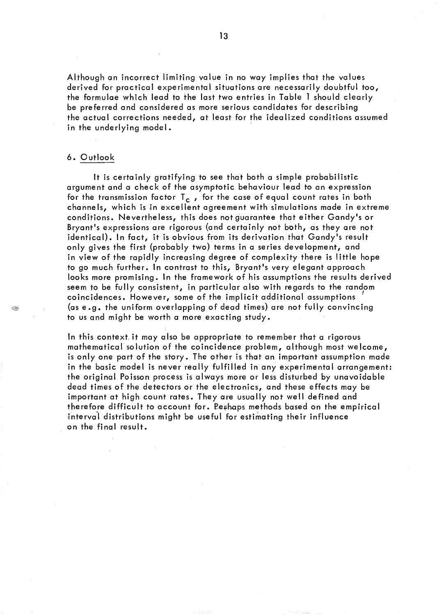Although an incorrect limiting value in no way implies that the values derived for practical experimental situations are necessarily doubtful too, the formulae which lead to the last two entries in Table 1 should clearly be preferred and considered as more serious candidates for describing the actual corrections needed, at least for the idealized conditions assumed in the underlying model.

#### 6. Outlook

A.

It is certainly gratifying to see that both a simple probabilistic argument and a check of the asymptotic behaviour lead to an expression for the transmission factor  $T_c$ , for the case of equal count rates in both channels, which is in excellent agreement with simulations made in extreme conditions. Nevertheless, this does not guarantee that either Gandy's or Bryant's expressions are rigorous (and certainly not both, as they are not identical). In fact, it is obvious from its derivation that Gandy's result only gives the first (probably two) terms in a series development, and in view of the rapidly increasing degree of complexity there is little hope to go much further. In contrast to this, Bryant's very elegant approach looks more promising. In the framework of his assumptions the results derived seem to be fully consistent, in particular also with regards to the randpm coincidences. However, some of the implicit additional assumptions ' (as e.g. the uniform overlapping of dead times) are not ful1y convincing to us and might be worth a more exacting study.

In this context it may also be appropriate to remember that a rigorous mathematical solution of the coincidence problem, although most welcome, is only one part of the story. The other is that an important assumption made in the basic model is never really fulfilled in any experimental arrangement: the original Poisson process is always more or less disturbed by unavoidable dead times of the detectors or the electronics, and these effects may be important at high count rates. They are usually not well defined and therefore difficult to account for. Pethaps methods based on the empirical interval distributions might be useful for estimating their influence on the final result.